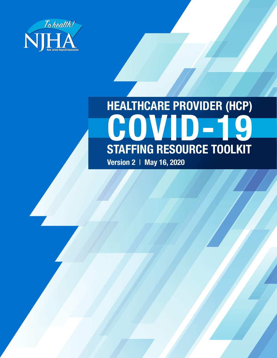

# **HEALTHCARE PROVIDER (HCP) COVID-19 STAFFING RESOURCE TOOLKIT**

**Version 2** | **May 16, 2020**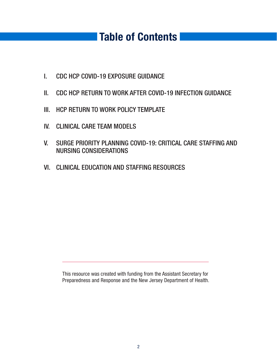### **Table of Contents**

- I. CDC HCP COVID-19 EXPOSURE GUIDANCE
- II. CDC HCP RETURN TO WORK AFTER COVID-19 INFECTION GUIDANCE
- III. HCP RETURN TO WORK POLICY TEMPLATE
- IV. CLINICAL CARE TEAM MODELS
- V. SURGE PRIORITY PLANNING COVID-19: CRITICAL CARE STAFFING AND NURSING CONSIDERATIONS
- VI. CLINICAL EDUCATION AND STAFFING RESOURCES

This resource was created with funding from the Assistant Secretary for Preparedness and Response and the New Jersey Department of Health.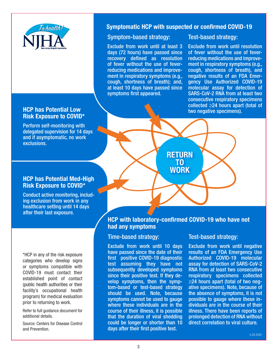

#### **HCP has Potential Low Risk Exposure to COVID\***

Perform self-monitoring with delegated supervision for 14 days and if asymptomatic, no work exclusions.

#### **Symptomatic HCP with suspected or confirmed COVID-19**

#### Symptom-based strategy:

Exclude from work until at least 3 days (72 hours) have passed since recovery defined as resolution of fever without the use of feverreducing medications and improvement in respiratory symptoms (e.g., cough, shortness of breath); and, at least 10 days have passed since symptoms first appeared.

Test-based strategy:

Exclude from work until resolution of fever without the use of feverreducing medications and improvement in respiratory symptoms (e.g., cough, shortness of breath), and negative results of an FDA Emergency Use Authorized COVID-19 molecular assay for detection of SARS-CoV-2 RNA from at least two consecutive respiratory specimens collected ≥24 hours apart (total of two negative specimens).

**HCP has Potential Med-High Risk Exposure to COVID\***

Conduct active monitoring, including exclusion from work in any healthcare setting until 14 days after their last exposure.

\*HCP in any of the risk exposure categories who develop signs or symptoms compatible with COVID-19 must contact their established point of contact (public health authorities or their facility's occupational health program) for medical evaluation prior to returning to work.

Refer to full guidance document for additional details.

Source: Centers for Disease Control and Prevention.

#### **HCP with laboratory-confirmed COVID-19 who have not had any symptoms**

**RETURN RETURN TO TO WORK**

#### Time-based strategy:

Exclude from work until 10 days have passed since the date of their first positive COVID-19 diagnostic test assuming they have not subsequently developed symptoms since their positive test. If they develop symptoms, then the symptom-based or test-based strategy should be used. Note, because symptoms cannot be used to gauge where these individuals are in the course of their illness, it is possible that the duration of viral shedding could be longer or shorter than 10 days after their first positive test.

#### Test-based strategy:

Exclude from work until negative results of an FDA Emergency Use Authorized COVID-19 molecular assay for detection of SARS-CoV-2 RNA from at least two consecutive respiratory specimens collected ≥24 hours apart (total of two negative specimens). Note, because of the absence of symptoms, it is not possible to gauge where these individuals are in the course of their illness. There have been reports of prolonged detection of RNA without direct correlation to viral culture.

5.29.2020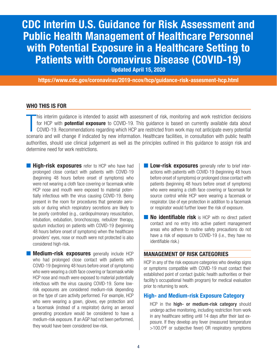### **CDC Interim U.S. Guidance for Risk Assessment and Public Health Management of Healthcare Personnel with Potential Exposure in a Healthcare Setting to Patients with Coronavirus Disease (COVID-19)**

**Updated April 15, 2020**

**https://www.cdc.gov/coronavirus/2019-ncov/hcp/guidance-risk-assesment-hcp.html**

#### **WHO THIS IS FOR**

This interim guidance is intended to assist with assessment of risk, monitoring and work restriction decisions for HCP with **potential exposure** to COVID-19. This guidance is based on currently available data about COVID-1 his interim guidance is intended to assist with assessment of risk, monitoring and work restriction decisions for HCP with **potential exposure** to COVID-19. This guidance is based on currently available data about COVID-19. Recommendations regarding which HCP are restricted from work may not anticipate every potential authorities, should use clinical judgement as well as the principles outlined in this guidance to assign risk and determine need for work restrictions.

**High-risk exposures** refer to HCP who have had prolonged close contact with patients with COVID-19 (beginning 48 hours before onset of symptoms) who were not wearing a cloth face covering or facemask while HCP nose and mouth were exposed to material potentially infectious with the virus causing COVID-19. Being present in the room for procedures that generate aerosols or during which respiratory secretions are likely to be poorly controlled (e.g., cardiopulmonary resuscitation, intubation, extubation, bronchoscopy, nebulizer therapy, sputum induction) on patients with COVID-19 (beginning 48 hours before onset of symptoms) when the healthcare providers' eyes, nose or mouth were not protected is also considered high-risk.

■ **Medium-risk exposures** generally include HCP who had prolonged close contact with patients with COVID-19 (beginning 48 hours before onset of symptoms) who were wearing a cloth face covering or facemask while HCP nose and mouth were exposed to material potentially infectious with the virus causing COVID-19. Some lowrisk exposures are considered medium-risk depending on the type of care activity performed. For example, HCP who were wearing a gown, gloves, eye protection and a facemask (instead of a respirator) during an aerosol generating procedure would be considered to have a medium-risk exposure. If an AGP had not been performed, they would have been considered low-risk.

- **E Low-risk exposures** generally refer to brief interactions with patients with COVID-19 (beginning 48 hours before onset of symptoms) or prolonged close contact with patients (beginning 48 hours before onset of symptoms) who were wearing a cloth face covering or facemask for source control while HCP were wearing a facemask or respirator. Use of eye protection in addition to a facemask or respirator would further lower the risk of exposure.
- **No identifiable risk** is HCP with no direct patient contact and no entry into active patient management areas who adhere to routine safety precautions do not have a risk of exposure to COVID-19 (i.e., they have no identifiable risk.)

#### **MANAGEMENT OF RISK CATEGORIES**

HCP in any of the risk exposure categories who develop signs or symptoms compatible with COVID-19 must contact their established point of contact (public health authorities or their facility's occupational health program) for medical evaluation prior to returning to work.

#### **High- and Medium-risk Exposure Category**

HCP in the **high- or medium-risk category** should undergo active monitoring, including restriction from work in any healthcare setting until 14 days after their last exposure. If they develop any fever (measured temperature >100.0°F or subjective fever) OR respiratory symptoms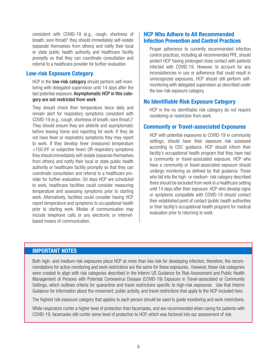consistent with COVID-19 (e.g., cough, shortness of breath, sore throat)\* they should immediately self-isolate (separate themselves from others) and notify their local or state public health authority and healthcare facility promptly so that they can coordinate consultation and referral to a healthcare provider for further evaluation.

#### **Low-risk Exposure Category**

HCP in the **low-risk category** should perform self-monitoring with delegated supervision until 14 days after the last potential exposure. Asymptomatic HCP in this category are not restricted from work.

They should check their temperature twice daily and remain alert for respiratory symptoms consistent with COVID-19 (e.g., cough, shortness of breath, sore throat.)\* They should ensure they are afebrile and asymptomatic before leaving home and reporting for work. If they do not have fever or respiratory symptoms they may report to work. If they develop fever (measured temperature >100.0°F or subjective fever) OR respiratory symptoms they should immediately self-isolate (separate themselves from others) and notify their local or state public health authority or healthcare facility promptly so that they can coordinate consultation and referral to a healthcare provider for further evaluation. On days HCP are scheduled to work, healthcare facilities could consider measuring temperature and assessing symptoms prior to starting work. Alternatively, facilities could consider having HCP report temperature and symptoms to occupational health prior to starting work. Modes of communication may include telephone calls or any electronic or internetbased means of communication.

#### **HCP Who Adhere to All Recommended Infection Prevention and Control Practices**

Proper adherence to currently recommended infection control practices, including all recommended PPE, should protect HCP having prolonged close contact with patients infected with COVID-19. However, to account for any inconsistencies in use or adherence that could result in unrecognized exposures, HCP should still perform selfmonitoring with delegated supervision as described under the low-risk exposure category.

#### **No Identifiable Risk Exposure Category**

HCP in the no identifiable risk category do not require monitoring or restriction from work.

#### **Community or Travel-associated Exposures**

HCP with potential exposures to COVID-19 in community settings, should have their exposure risk assessed according to CDC guidance. HCP should inform their facility's occupational health program that they have had a community or travel-associated exposure. HCP who have a community or travel-associated exposure should undergo monitoring as defined by that guidance. Those who fall into the high- or medium- risk category described there should be excluded from work in a healthcare setting until 14 days after their exposure. HCP who develop signs or symptoms compatible with COVID-19 should contact their established point of contact (public health authorities or their facility's occupational health program) for medical evaluation prior to returning to work.

#### **IMPORTANT NOTES**

Both high- and medium-risk exposures place HCP at more than low-risk for developing infection; therefore, the recommendations for active monitoring and work restrictions are the same for these exposures. However, these risk categories were created to align with risk categories described in the Interim US Guidance for Risk Assessment and Public Health Management of Persons with Potential Coronavirus Disease (COVID-19) Exposure in Travel-associated or Community Settings, which outlines criteria for quarantine and travel restrictions specific to high-risk exposures. Use that Interim Guidance for information about the movement, public activity, and travel restrictions that apply to the HCP included here.

The highest risk exposure category that applies to each person should be used to guide monitoring and work restrictions.

While respirators confer a higher level of protection than facemasks, and are recommended when caring for patients with COVID-19, facemasks still confer some level of protection to HCP, which was factored into our assessment of risk.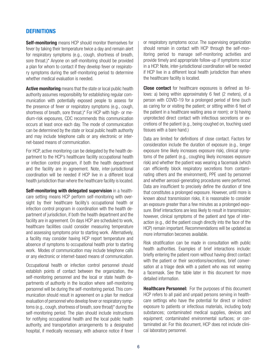#### **DEFINITIONS**

**Self-monitoring** means HCP should monitor themselves for fever by taking their temperature twice a day and remain alert for respiratory symptoms (e.g., cough, shortness of breath, sore throat.)\* Anyone on self-monitoring should be provided a plan for whom to contact if they develop fever or respiratory symptoms during the self-monitoring period to determine whether medical evaluation is needed.

**Active monitoring** means that the state or local public health authority assumes responsibility for establishing regular communication with potentially exposed people to assess for the presence of fever or respiratory symptoms (e.g., cough, shortness of breath, sore throat.)\* For HCP with high- or medium-risk exposures, CDC recommends this communication occurs at least once each day. The mode of communication can be determined by the state or local public health authority and may include telephone calls or any electronic or internet-based means of communication.

For HCP, active monitoring can be delegated by the health department to the HCP's healthcare facility occupational health or infection control program, if both the health department and the facility are in agreement. Note, inter-jurisdictional coordination will be needed if HCP live in a different local health jurisdiction than where the healthcare facility is located.

**Self-monitoring with delegated supervision** in a healthcare setting means HCP perform self-monitoring with oversight by their healthcare facility's occupational health or infection control program in coordination with the health department of jurisdiction, if both the health department and the facility are in agreement. On days HCP are scheduled to work, healthcare facilities could consider measuring temperature and assessing symptoms prior to starting work. Alternatively, a facility may consider having HCP report temperature and absence of symptoms to occupational health prior to starting work. Modes of communication may include telephone calls or any electronic or internet-based means of communication.

Occupational health or infection control personnel should establish points of contact between the organization, the self-monitoring personnel and the local or state health departments of authority in the location where self-monitoring personnel will be during the self-monitoring period. This communication should result in agreement on a plan for medical evaluation of personnel who develop fever or respiratory symptoms (e.g., cough, shortness of breath, sore throat)\* during the self-monitoring period. The plan should include instructions for notifying occupational health and the local public health authority, and transportation arrangements to a designated hospital, if medically necessary, with advance notice if fever

or respiratory symptoms occur. The supervising organization should remain in contact with HCP through the self-monitoring period to manage self-monitoring activities and provide timely and appropriate follow-up if symptoms occur in a HCP. Note, inter-jurisdictional coordination will be needed if HCP live in a different local health jurisdiction than where the healthcare facility is located.

**Close contact** for healthcare exposures is defined as follows: a) being within approximately 6 feet (2 meters), of a person with COVID-19 for a prolonged period of time (such as caring for or visiting the patient; or sitting within 6 feet of the patient in a healthcare waiting area or room); or b) having unprotected direct contact with infectious secretions or excretions of the patient (e.g., being coughed on, touching used tissues with a bare hand.)

Data are limited for definitions of close contact. Factors for consideration include the duration of exposure (e.g., longer exposure time likely increases exposure risk), clinical symptoms of the patient (e.g., coughing likely increases exposure risk) and whether the patient was wearing a facemask (which can efficiently block respiratory secretions from contaminating others and the environment), PPE used by personnel and whether aerosol-generating procedures were performed. Data are insufficient to precisely define the duration of time that constitutes a prolonged exposure. However, until more is known about transmission risks, it is reasonable to consider an exposure greater than a few minutes as a prolonged exposure. Brief interactions are less likely to result in transmission; however, clinical symptoms of the patient and type of interaction (e.g., did the patient cough directly into the face of the HCP) remain important. Recommendations will be updated as more information becomes available.

Risk stratification can be made in consultation with public health authorities. Examples of brief interactions include: briefly entering the patient room without having direct contact with the patient or their secretions/excretions, brief conversation at a triage desk with a patient who was not wearing a facemask. See the table later in this document for more detailed information.

**Healthcare Personnel:** For the purposes of this document HCP refers to all paid and unpaid persons serving in healthcare settings who have the potential for direct or indirect exposure to patients or infectious materials, including body substances; contaminated medical supplies, devices and equipment; contaminated environmental surfaces; or contaminated air. For this document, HCP does not include clinical laboratory personnel.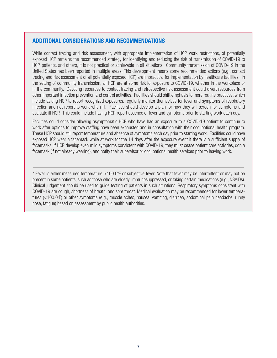#### **ADDITIONAL CONSIDERATIONS AND RECOMMENDATIONS**

While contact tracing and risk assessment, with appropriate implementation of HCP work restrictions, of potentially exposed HCP remains the recommended strategy for identifying and reducing the risk of transmission of COVID-19 to HCP, patients, and others, it is not practical or achievable in all situations. Community transmission of COVID-19 in the United States has been reported in multiple areas. This development means some recommended actions (e.g., contact tracing and risk assessment of all potentially exposed HCP) are impractical for implementation by healthcare facilities. In the setting of community transmission, all HCP are at some risk for exposure to COVID-19, whether in the workplace or in the community. Devoting resources to contact tracing and retrospective risk assessment could divert resources from other important infection prevention and control activities. Facilities should shift emphasis to more routine practices, which include asking HCP to report recognized exposures, regularly monitor themselves for fever and symptoms of respiratory infection and not report to work when ill. Facilities should develop a plan for how they will screen for symptoms and evaluate ill HCP. This could include having HCP report absence of fever and symptoms prior to starting work each day.

Facilities could consider allowing asymptomatic HCP who have had an exposure to a COVID-19 patient to continue to work after options to improve staffing have been exhausted and in consultation with their occupational health program. These HCP should still report temperature and absence of symptoms each day prior to starting work. Facilities could have exposed HCP wear a facemask while at work for the 14 days after the exposure event if there is a sufficient supply of facemasks. If HCP develop even mild symptoms consistent with COVID-19, they must cease patient care activities, don a facemask (if not already wearing), and notify their supervisor or occupational health services prior to leaving work.

\* Fever is either measured temperature >100.0°F or subjective fever. Note that fever may be intermittent or may not be present in some patients, such as those who are elderly, immunosuppressed, or taking certain medications (e.g., NSAIDs). Clinical judgement should be used to guide testing of patients in such situations. Respiratory symptoms consistent with COVID-19 are cough, shortness of breath, and sore throat. Medical evaluation may be recommended for lower temperatures (<100.0°F) or other symptoms (e.g., muscle aches, nausea, vomiting, diarrhea, abdominal pain headache, runny nose, fatigue) based on assessment by public health authorities.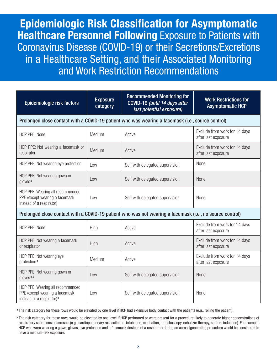**Epidemiologic Risk Classification for Asymptomatic Healthcare Personnel Following** Exposure to Patients with Coronavirus Disease (COVID-19) or their Secretions/Excretions in a Healthcare Setting, and their Associated Monitoring and Work Restriction Recommendations

| Epidemiologic risk factors                                                                                  | <b>Exposure</b><br>category | <b>Recommended Monitoring for</b><br>COVID-19 (until 14 days after<br>last potential exposure)           | <b>Work Restrictions for</b><br><b>Asymptomatic HCP</b> |  |  |  |
|-------------------------------------------------------------------------------------------------------------|-----------------------------|----------------------------------------------------------------------------------------------------------|---------------------------------------------------------|--|--|--|
| Prolonged close contact with a COVID-19 patient who was wearing a facemask (i.e., source control)           |                             |                                                                                                          |                                                         |  |  |  |
| <b>HCP PPE: None</b>                                                                                        | Medium                      | Active                                                                                                   | Exclude from work for 14 days<br>after last exposure    |  |  |  |
| HCP PPE: Not wearing a facemask or<br>respirator.                                                           | Medium                      | Active                                                                                                   | Exclude from work for 14 days<br>after last exposure    |  |  |  |
| HCP PPE: Not wearing eye protection                                                                         | Low                         | Self with delegated supervision                                                                          | None                                                    |  |  |  |
| HCP PPE: Not wearing gown or<br>gloves <sup>a</sup>                                                         | Low                         | Self with delegated supervision                                                                          | <b>None</b>                                             |  |  |  |
| HCP PPE: Wearing all recommended<br>PPE (except wearing a facemask<br>instead of a respirator)              | Low                         | Self with delegated supervision                                                                          | None                                                    |  |  |  |
|                                                                                                             |                             | Prolonged close contact with a COVID-19 patient who was not wearing a facemask (i.e., no source control) |                                                         |  |  |  |
| <b>HCP PPE: None</b>                                                                                        | High                        | Active                                                                                                   | Exclude from work for 14 days<br>after last exposure    |  |  |  |
| HCP PPE: Not wearing a facemask<br>or respirator                                                            | High                        | Active                                                                                                   | Exclude from work for 14 days<br>after last exposure    |  |  |  |
| HCP PPE: Not wearing eye<br>protection <sup>b</sup>                                                         | Medium                      | Active                                                                                                   | Exclude from work for 14 days<br>after last exposure    |  |  |  |
| HCP PPE: Not wearing gown or<br>gloves <sup>a, b</sup>                                                      | l ow                        | Self with delegated supervision                                                                          | None                                                    |  |  |  |
| HCP PPE: Wearing all recommended<br>PPE (except wearing a facemask<br>instead of a respirator) <sup>b</sup> | Low                         | Self with delegated supervision                                                                          | None                                                    |  |  |  |

<sup>a</sup> The risk category for these rows would be elevated by one level if HCP had extensive body contact with the patients (e.g., rolling the patient).

b The risk category for these rows would be elevated by one level if HCP performed or were present for a procedure likely to generate higher concentrations of respiratory secretions or aerosols (e.g., cardiopulmonary resuscitation, intubation, extubation, bronchoscopy, nebulizer therapy, sputum induction). For example, HCP who were wearing a gown, gloves, eye protection and a facemask (instead of a respirator) during an aerosolgenerating procedure would be considered to have a medium-risk exposure.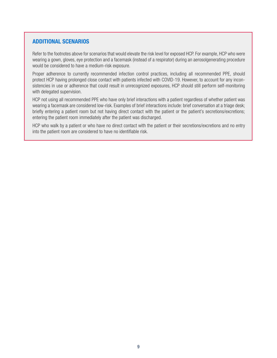#### **ADDITIONAL SCENARIOS**

Refer to the footnotes above for scenarios that would elevate the risk level for exposed HCP. For example, HCP who were wearing a gown, gloves, eye protection and a facemask (instead of a respirator) during an aerosolgenerating procedure would be considered to have a medium-risk exposure.

Proper adherence to currently recommended infection control practices, including all recommended PPE, should protect HCP having prolonged close contact with patients infected with COVID-19. However, to account for any inconsistencies in use or adherence that could result in unrecognized exposures, HCP should still perform self-monitoring with delegated supervision.

HCP not using all recommended PPE who have only brief interactions with a patient regardless of whether patient was wearing a facemask are considered low-risk. Examples of brief interactions include: brief conversation at a triage desk; briefly entering a patient room but not having direct contact with the patient or the patient's secretions/excretions; entering the patient room immediately after the patient was discharged.

HCP who walk by a patient or who have no direct contact with the patient or their secretions/excretions and no entry into the patient room are considered to have no identifiable risk.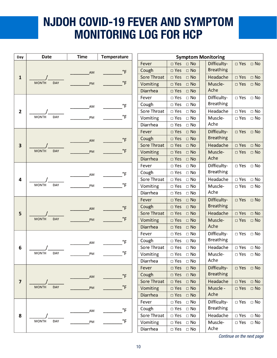# **NJDOH COVID-19 FEVER AND SYMPTOM MONITORING LOG FOR HCP**

| Day                     | <b>Date</b>                | <b>Time</b> | <b>Temperature</b> | <b>Symptom Monitoring</b> |                                            |                                 |                               |
|-------------------------|----------------------------|-------------|--------------------|---------------------------|--------------------------------------------|---------------------------------|-------------------------------|
|                         |                            |             |                    | Fever                     | $\square$ Yes<br>$\square$ No              | Difficulty-                     | $\Box$ Yes $\Box$ No          |
|                         |                            |             |                    | Cough                     | $\Box$ No<br>$\square$ Yes                 | <b>Breathing</b>                |                               |
| 1                       |                            | AM          | $\degree$ F        | <b>Sore Throat</b>        | $\Box$ No<br>$\square$ Yes                 | Headache                        | $\square$ Yes<br>$\Box$ No    |
|                         | <b>MONTH</b><br><b>DAY</b> | PM          | $\degree$ F        | Vomiting                  | $\square$ Yes<br>$\Box$ No                 | Muscle-                         | $\square$ Yes<br>$\Box$ No    |
|                         |                            |             |                    | <b>Diarrhea</b>           | $\square$ Yes<br>$\Box$ No                 | Ache                            |                               |
|                         |                            |             |                    | Fever                     | $\Box$ No<br>$\square$ Yes                 | Difficulty-                     | $\Box$ Yes $\Box$ No          |
|                         |                            |             |                    | Cough                     | $\square$ Yes<br>$\Box$ No                 | <b>Breathing</b>                |                               |
| 2                       |                            | AM          | °F                 | Sore Throat               | $\square$ Yes<br>$\Box$ No                 | Headache                        | $\square$ Yes<br>$\Box$ No    |
|                         | <b>MONTH</b><br>DAY        | PM          | $\mathsf{P}$       | Vomiting                  | $\square$ Yes<br>$\Box$ No                 | Muscle-                         | $\square$ Yes<br>$\Box$ No    |
|                         |                            |             |                    | Diarrhea                  | $\square$ Yes<br>$\Box$ No                 | Ache                            |                               |
|                         |                            |             |                    | Fever                     | $\square$ Yes<br>$\Box$ No                 | Difficulty-                     | $\Box$ Yes $\Box$ No          |
|                         |                            |             |                    | Cough                     | $\square$ Yes<br>$\square$ No              | <b>Breathing</b>                |                               |
|                         |                            | <b>AM</b>   | $\degree$ F        | Sore Throat               | $\square$ Yes<br>$\Box$ No                 | Headache                        | $\square$ Yes<br>$\Box$ No    |
| 3                       | <b>MONTH</b><br><b>DAY</b> | PM          | $\degree$ F        |                           | $\square$ Yes<br>$\Box$ No                 | Muscle-                         | $\square$ Yes<br>$\Box$ No    |
|                         |                            |             |                    | Vomiting<br>Diarrhea      | $\square$ Yes                              | Ache                            |                               |
|                         |                            |             |                    | Fever                     | $\square$ No<br>$\square$ Yes<br>$\Box$ No |                                 |                               |
|                         |                            |             |                    | Cough                     | $\square$ Yes<br>$\Box$ No                 | Difficulty-<br><b>Breathing</b> | $\square$ Yes<br>$\square$ No |
|                         |                            | AM          | $\mathsf{P}$       | Sore Throat               | $\square$ Yes                              | Headache                        | $\square$ Yes<br>$\Box$ No    |
| 4                       | <b>MONTH</b><br><b>DAY</b> | PM          | $\mathsf{P}$       |                           | $\Box$ No                                  |                                 |                               |
|                         |                            |             |                    | Vomiting                  | $\square$ Yes<br>$\Box$ No                 | Muscle-<br>Ache                 | $\Box$ Yes<br>$\Box$ No       |
|                         |                            |             |                    | Diarrhea                  | $\square$ Yes<br>$\Box$ No                 |                                 |                               |
|                         |                            |             |                    | Fever                     | $\square$ Yes<br>$\square$ No              | Difficulty-<br><b>Breathing</b> | $\Box$ Yes $\Box$ No          |
|                         |                            | AM          | $\mathsf{P}$       | Cough                     | $\square$ Yes<br>$\Box$ No                 |                                 |                               |
| 5                       | <b>MONTH</b><br><b>DAY</b> |             | $\degree$ F        | Sore Throat               | $\square$ Yes<br>$\square$ No              | Headache                        | $\square$ Yes<br>$\Box$ No    |
|                         |                            | PM          |                    | Vomiting                  | $\square$ Yes<br>$\Box$ No                 | Muscle-<br>Ache                 | $\square$ Yes<br>$\Box$ No    |
|                         |                            |             |                    | <b>Diarrhea</b>           | $\square$ Yes<br>$\square$ No              |                                 |                               |
|                         |                            |             |                    | Fever                     | $\square$ Yes<br>$\Box$ No                 | Difficulty-                     | $\Box$ Yes $\Box$ No          |
|                         |                            | AM          | °F                 | Cough                     | $\square$ Yes<br>$\Box$ No                 | <b>Breathing</b>                |                               |
| 6                       |                            |             |                    | Sore Throat               | $\square$ Yes<br>$\Box$ No                 | Headache                        | $\square$ Yes<br>$\square$ No |
|                         | <b>MONTH</b><br>DAY        | PМ          | $\degree$ F        | Vomiting                  | $\Box$ Yes<br>$\Box$ No                    | Muscle-                         | $\Box$ Yes $\Box$ No          |
|                         |                            |             |                    | Diarrhea                  | $\square$ Yes<br>$\Box$ No                 | Ache                            |                               |
|                         |                            |             |                    | Fever                     | $\square$ Yes<br>$\Box$ No                 | Difficulty-                     | $\Box$ Yes $\Box$ No          |
|                         |                            | AM          | $\degree$ F        | Cough                     | $\square$ Yes<br>$\Box$ No                 | <b>Breathing</b>                |                               |
| $\overline{\mathbf{z}}$ |                            |             |                    | Sore Throat               | $\square$ Yes<br>$\square$ No              | Headache                        | $\Box$ Yes $\Box$ No          |
|                         | <b>MONTH</b><br><b>DAY</b> | PM          | $\mathsf{P}$       | Vomiting                  | $\square$ Yes<br>$\Box$ No                 | Muscle -                        | $\Box$ Yes $\Box$ No          |
|                         |                            |             |                    | <b>Diarrhea</b>           | $\square$ Yes<br>$\square$ No              | Ache                            |                               |
|                         |                            |             |                    | Fever                     | $\Box$ No<br>$\square$ Yes                 | Difficulty-                     | □ Yes □ No                    |
|                         |                            | AM          | $\mathsf{P}$       | Cough                     | $\square$ Yes<br>$\Box$ No                 | <b>Breathing</b>                |                               |
| 8                       |                            |             |                    | Sore Throat               | $\Box$ No<br>$\Box$ Yes                    | Headache                        | $\Box$ Yes $\Box$ No          |
|                         | <b>MONTH</b><br>DAY        | PM          | $\mathsf{P}$       | Vomiting                  | $\square$ Yes<br>$\Box$ No                 | Muscle-                         | $\Box$ Yes $\Box$ No          |
|                         |                            |             |                    | Diarrhea                  | $\Box$ Yes<br>$\Box$ No                    | Ache                            |                               |

*Continue on the next page*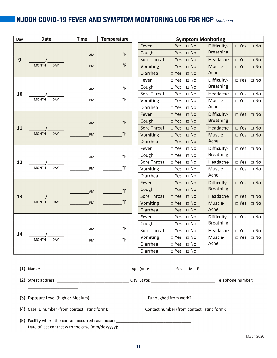### **NJDOH COVID-19 FEVER AND SYMPTOM MONITORING LOG FOR HCP** *Continued*

| Day | <b>Date</b>                | <b>Time</b> | <b>Temperature</b> | <b>Symptom Monitoring</b> |                               |                  |                               |
|-----|----------------------------|-------------|--------------------|---------------------------|-------------------------------|------------------|-------------------------------|
|     |                            |             |                    | Fever                     | $\square$ Yes<br>$\Box$ No    | Difficulty-      | $\Box$ Yes<br>$\Box$ No       |
|     |                            | AM          | $\degree$ F        | Cough                     | $\square$ Yes<br>$\square$ No | <b>Breathing</b> |                               |
| 9   |                            |             |                    | Sore Throat               | $\square$ Yes<br>$\Box$ No    | Headache         | $\square$ Yes<br>$\Box$ No    |
|     | <b>MONTH</b><br><b>DAY</b> | PM          | $\degree$ F        | Vomiting                  | $\square$ Yes<br>$\Box$ No    | Muscle-          | $\square$ Yes<br>$\square$ No |
|     |                            |             |                    | Diarrhea                  | $\square$ Yes<br>$\Box$ No    | Ache             |                               |
|     |                            |             |                    | Fever                     | $\square$ Yes<br>$\Box$ No    | Difficulty-      | $\square$ Yes<br>$\Box$ No    |
|     |                            | AM          | $\circ$ F          | Cough                     | $\square$ Yes<br>$\Box$ No    | <b>Breathing</b> |                               |
| 10  |                            |             |                    | Sore Throat               | $\square$ Yes<br>$\Box$ No    | Headache         | $\square$ Yes<br>$\Box$ No    |
|     | <b>MONTH</b><br><b>DAY</b> | PM          | $\degree$ F        | Vomiting                  | $\square$ Yes<br>$\Box$ No    | Muscle-          | $\square$ Yes<br>$\square$ No |
|     |                            |             |                    | <b>Diarrhea</b>           | $\square$ Yes<br>$\Box$ No    | Ache             |                               |
|     |                            |             |                    | Fever                     | $\square$ Yes<br>$\Box$ No    | Difficulty-      | $\square$ Yes<br>$\Box$ No    |
|     |                            | AM          | $\circ$ F          | Cough                     | $\square$ Yes<br>$\Box$ No    | <b>Breathing</b> |                               |
| 11  |                            |             |                    | <b>Sore Throat</b>        | $\square$ Yes<br>$\Box$ No    | Headache         | $\square$ Yes<br>$\square$ No |
|     | <b>MONTH</b><br>DAY        | PM          | $\degree$ F        | Vomiting                  | $\square$ Yes<br>$\Box$ No    | Muscle-          | $\square$ Yes<br>$\Box$ No    |
|     |                            |             |                    | Diarrhea                  | $\Box$ No<br>$\square$ Yes    | Ache             |                               |
|     |                            |             |                    | Fever                     | $\Box$ No<br>$\square$ Yes    | Difficulty-      | $\Box$ Yes<br>$\Box$ No       |
|     |                            | AM          | $\degree$ F        | Cough                     | $\square$ Yes<br>$\Box$ No    | <b>Breathing</b> |                               |
| 12  |                            |             |                    | Sore Throat               | $\square$ Yes<br>$\Box$ No    | Headache         | $\Box$ Yes<br>$\Box$ No       |
|     | <b>MONTH</b><br><b>DAY</b> | PM          | $\degree$ F        | Vomiting                  | $\square$ Yes<br>$\Box$ No    | Muscle-          | $\square$ Yes<br>$\Box$ No    |
|     |                            |             |                    | Diarrhea                  | $\square$ Yes<br>$\Box$ No    | Ache             |                               |
|     |                            |             |                    | Fever                     | $\square$ Yes<br>$\Box$ No    | Difficulty-      | $\square$ Yes<br>$\Box$ No    |
|     |                            | AM          | $\degree$ F        | Cough                     | $\square$ Yes<br>$\Box$ No    | <b>Breathing</b> |                               |
| 13  |                            |             |                    | <b>Sore Throat</b>        | $\square$ Yes<br>$\Box$ No    | Headache         | $\Box$ Yes<br>$\Box$ No       |
|     | <b>MONTH</b><br><b>DAY</b> | PM          | $\circ$ F          | Vomiting                  | $\square$ Yes<br>$\Box$ No    | Muscle-          | $\square$ Yes<br>$\square$ No |
|     |                            |             |                    | Diarrhea                  | $\square$ Yes<br>$\Box$ No    | Ache             |                               |
|     |                            |             |                    | Fever                     | $\square$ Yes<br>$\Box$ No    | Difficulty-      | $\square$ Yes<br>$\Box$ No    |
|     |                            |             | $\degree$ F        | Cough                     | $\square$ Yes<br>$\Box$ No    | <b>Breathing</b> |                               |
| 14  |                            | AM          |                    | Sore Throat               | $\Box$ Yes<br>$\Box$ No       | Headache         | $\square$ Yes<br>$\Box$ No    |
|     | <b>MONTH</b><br><b>DAY</b> | PM          | $\degree$ F        | Vomiting                  | $\square$ Yes<br>$\Box$ No    | Muscle-          | $\square$ Yes<br>$\Box$ No    |
|     |                            |             |                    | Diarrhea                  | $\square$ Yes<br>$\Box$ No    | Ache             |                               |
|     |                            |             |                    | Diarrhea                  | $\square$ Yes<br>$\Box$ No    |                  |                               |
|     |                            |             |                    |                           |                               |                  |                               |

|                                                                                                     | Sex: M F                                                                                                       |                   |
|-----------------------------------------------------------------------------------------------------|----------------------------------------------------------------------------------------------------------------|-------------------|
| (2) Street address: __________________________________City, State: ________________________________ |                                                                                                                | Telephone number: |
|                                                                                                     |                                                                                                                |                   |
|                                                                                                     | Furloughed from work? The manufacturer of the state of the state of the state of the state of the state of the |                   |
| (4) Case ID number (from contact listing form): Contact number (from contact listing form):         |                                                                                                                |                   |
| (5) Facility where the contact occurred case occur: ____________________________                    |                                                                                                                |                   |
| Date of last contact with the case (mm/dd/yyyy): ________________________________                   |                                                                                                                |                   |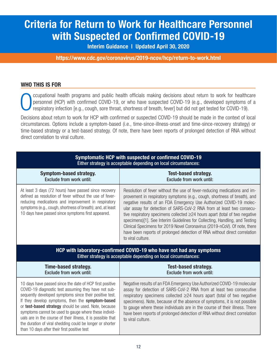## **Criteria for Return to Work for Healthcare Personnel with Suspected or Confirmed COVID-19**

**Interim Guidance | Updated April 30, 2020**

**https://www.cdc.gov/coronavirus/2019-ncov/hcp/return-to-work.html**

#### **WHO THIS IS FOR**

ccupational health programs and public health officials making decisions about return to work for healthcare personnel (HCP) with confirmed COVID-19, or who have suspected COVID-19 (e.g., developed symptoms of a respiratory infection [e.g., cough, sore throat, shortness of breath, fever] but did not get tested for COVID-19).

Decisions about return to work for HCP with confirmed or suspected COVID-19 should be made in the context of local circumstances. Options include a symptom-based (i.e., time-since-illness-onset and time-since-recovery strategy) or time-based strategy or a test-based strategy. Of note, there have been reports of prolonged detection of RNA without direct correlation to viral culture.

| Symptomatic HCP with suspected or confirmed COVID-19<br>Either strategy is acceptable depending on local circumstances:                                                                                                                                                                      |                                                                                                                                                                                                                                                                                                                                                                                                                                                                                                                                                                                                                                                            |  |  |
|----------------------------------------------------------------------------------------------------------------------------------------------------------------------------------------------------------------------------------------------------------------------------------------------|------------------------------------------------------------------------------------------------------------------------------------------------------------------------------------------------------------------------------------------------------------------------------------------------------------------------------------------------------------------------------------------------------------------------------------------------------------------------------------------------------------------------------------------------------------------------------------------------------------------------------------------------------------|--|--|
| <b>Symptom-based strategy.</b><br><b>Exclude from work until:</b>                                                                                                                                                                                                                            | <b>Test-based strategy.</b><br><b>Exclude from work until:</b>                                                                                                                                                                                                                                                                                                                                                                                                                                                                                                                                                                                             |  |  |
| At least 3 days (72 hours) have passed since recovery<br>defined as resolution of fever without the use of fever-<br>reducing medications and improvement in respiratory<br>symptoms (e.g., cough, shortness of breath); and, at least<br>10 days have passed since symptoms first appeared. | Resolution of fever without the use of fever-reducing medications and im-<br>provement in respiratory symptoms (e.g., cough, shortness of breath), and<br>negative results of an FDA Emergency Use Authorized COVID-19 molec-<br>ular assay for detection of SARS-CoV-2 RNA from at least two consecu-<br>tive respiratory specimens collected $\geq$ 24 hours apart (total of two negative<br>specimens)[1]. See Interim Guidelines for Collecting, Handling, and Testing<br>Clinical Specimens for 2019 Novel Coronavirus (2019-nCoV). Of note, there<br>have been reports of prolonged detection of RNA without direct correlation<br>to viral culture. |  |  |
|                                                                                                                                                                                                                                                                                              |                                                                                                                                                                                                                                                                                                                                                                                                                                                                                                                                                                                                                                                            |  |  |
|                                                                                                                                                                                                                                                                                              | HCP with laboratory-confirmed COVID-19 who have not had any symptoms<br>Either strategy is acceptable depending on local circumstances:                                                                                                                                                                                                                                                                                                                                                                                                                                                                                                                    |  |  |
| <b>Time-based strategy.</b><br><b>Exclude from work until:</b>                                                                                                                                                                                                                               | <b>Test-based strategy.</b><br><b>Exclude from work until:</b>                                                                                                                                                                                                                                                                                                                                                                                                                                                                                                                                                                                             |  |  |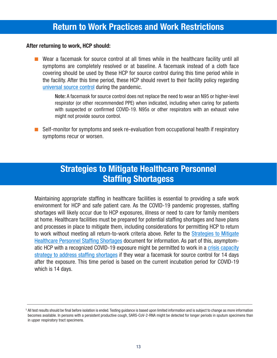### **Return to Work Practices and Work Restrictions**

#### **After returning to work, HCP should:**

■ Wear a facemask for source control at all times while in the healthcare facility until all symptoms are completely resolved or at baseline. A facemask instead of a cloth face covering should be used by these HCP for source control during this time period while in the facility. After this time period, these HCP should revert to their facility policy regarding [universal source control](https://www.cdc.gov/coronavirus/2019-ncov/hcp/infection-control-recommendations.html) during the pandemic.

Note: A facemask for source control does not replace the need to wear an N95 or higher-level respirator (or other recommended PPE) when indicated, including when caring for patients with suspected or confirmed COVID-19. N95s or other respirators with an exhaust valve might not provide source control.

■ Self-monitor for symptoms and seek re-evaluation from occupational health if respiratory symptoms recur or worsen.

### **Strategies to Mitigate Healthcare Personnel Staffing Shortagess**

Maintaining appropriate staffing in healthcare facilities is essential to providing a safe work environment for HCP and safe patient care. As the COVID-19 pandemic progresses, staffing shortages will likely occur due to HCP exposures, illness or need to care for family members at home. Healthcare facilities must be prepared for potential staffing shortages and have plans and processes in place to mitigate them, including considerations for permitting HCP to return [to work without meeting all return-to-work criteria above. Refer to the Strategies to Mitigate](https://www.cdc.gov/coronavirus/2019-ncov/hcp/mitigating-staff-shortages.html) Healthcare Personnel Staffing Shortages document for information. As part of this, asymptomatic HCP with a recognized COVID-19 exposure might be permitted to work in a crisis capacity [strategy to address staffing shortages if they wear a facemask for source control for 14 days](https://www.cdc.gov/coronavirus/2019-ncov/hcp/mitigating-staff-shortages.html)  after the exposure. This time period is based on the current incubation period for COVID-19 which is 14 days.

<sup>&</sup>lt;sup>1</sup> All test results should be final before isolation is ended. Testing guidance is based upon limited information and is subject to change as more information becomes available. In persons with a persistent productive cough, SARS-CoV-2-RNA might be detected for longer periods in sputum specimens than in upper respiratory tract specimens.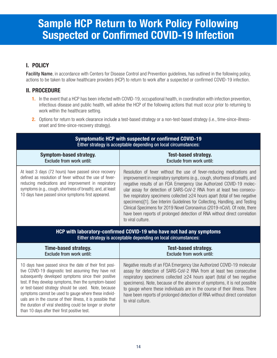## **Sample HCP Return to Work Policy Following Suspected or Confirmed COVID-19 Infection**

#### **I. POLICY**

Facility Name, in accordance with Centers for Disease Control and Prevention guidelines, has outlined in the following policy, actions to be taken to allow healthcare providers (HCP) to return to work after a suspected or confirmed COVID-19 infection.

#### **II. PROCEDURE**

- **1.** In the event that a HCP has been infected with COVID-19, occupational health, in coordination with infection prevention, infectious disease and public health, will advise the HCP of the following actions that must occur prior to returning to work within the healthcare setting.
- **2.** Options for return to work clearance include a test-based strategy or a non-test-based strategy (i.e., time-since-illnessonset and time-since-recovery strategy).

| Symptomatic HCP with suspected or confirmed COVID-19<br>Either strategy is acceptable depending on local circumstances:                                                                                                                                                                      |                                                                                                                                                                                                                                                                                                                                                                                                                                                                                                                                                                                                                                                          |  |  |
|----------------------------------------------------------------------------------------------------------------------------------------------------------------------------------------------------------------------------------------------------------------------------------------------|----------------------------------------------------------------------------------------------------------------------------------------------------------------------------------------------------------------------------------------------------------------------------------------------------------------------------------------------------------------------------------------------------------------------------------------------------------------------------------------------------------------------------------------------------------------------------------------------------------------------------------------------------------|--|--|
| <b>Symptom-based strategy.</b><br><b>Exclude from work until:</b>                                                                                                                                                                                                                            | <b>Test-based strategy.</b><br><b>Exclude from work until:</b>                                                                                                                                                                                                                                                                                                                                                                                                                                                                                                                                                                                           |  |  |
| At least 3 days (72 hours) have passed since recovery<br>defined as resolution of fever without the use of fever-<br>reducing medications and improvement in respiratory<br>symptoms (e.g., cough, shortness of breath); and, at least<br>10 days have passed since symptoms first appeared. | Resolution of fever without the use of fever-reducing medications and<br>improvement in respiratory symptoms (e.g., cough, shortness of breath), and<br>negative results of an FDA Emergency Use Authorized COVID-19 molec-<br>ular assay for detection of SARS-CoV-2 RNA from at least two consecu-<br>tive respiratory specimens collected $\geq$ 24 hours apart (total of two negative<br>specimens)[1]. See Interim Guidelines for Collecting, Handling, and Testing<br>Clinical Specimens for 2019 Novel Coronavirus (2019-nCoV). Of note, there<br>have been reports of prolonged detection of RNA without direct correlation<br>to viral culture. |  |  |
|                                                                                                                                                                                                                                                                                              |                                                                                                                                                                                                                                                                                                                                                                                                                                                                                                                                                                                                                                                          |  |  |
|                                                                                                                                                                                                                                                                                              | HCP with laboratory-confirmed COVID-19 who have not had any symptoms<br>Either strategy is acceptable depending on local circumstances:                                                                                                                                                                                                                                                                                                                                                                                                                                                                                                                  |  |  |
| Time-based strategy.<br><b>Exclude from work until:</b>                                                                                                                                                                                                                                      | <b>Test-based strategy.</b><br><b>Exclude from work until:</b>                                                                                                                                                                                                                                                                                                                                                                                                                                                                                                                                                                                           |  |  |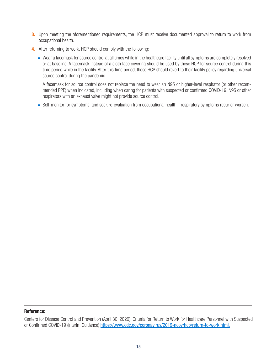- **3.** Upon meeting the aforementioned requirements, the HCP must receive documented approval to return to work from occupational health.
- **4.** After returning to work, HCP should comply with the following:
	- Wear a facemask for source control at all times while in the healthcare facility until all symptoms are completely resolved or at baseline. A facemask instead of a cloth face covering should be used by these HCP for source control during this time period while in the facility. After this time period, these HCP should revert to their facility policy regarding universal source control during the pandemic.

A facemask for source control does not replace the need to wear an N95 or higher-level respirator (or other recommended PPE) when indicated, including when caring for patients with suspected or confirmed COVID-19. N95 or other respirators with an exhaust valve might not provide source control.

• Self-monitor for symptoms, and seek re-evaluation from occupational health if respiratory symptoms recur or worsen.

#### **Reference:**

Centers for Disease Control and Prevention (April 30, 2020). Criteria for Return to Work for Healthcare Personnel with Suspected or Confirmed COVID-19 (Interim Guidance) https://www.cdc.gov/coronavirus/2019-ncov/hcp/return-to-work.html.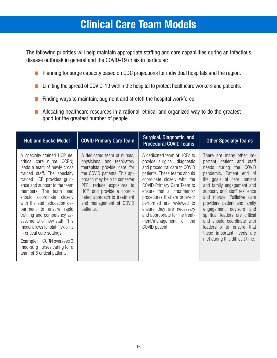### **Clinical Care Team Models**

The following priorities will help maintain appropriate staffing and care capabilities during an infectious disease outbreak in general and the COVID-19 crisis in particular:

- Planning for surge capacity based on CDC projections for individual hospitals and the region.
- Limiting the spread of COVID-19 within the hospital to protect healthcare workers and patients.
- Finding ways to maintain, augment and stretch the hospital workforce.
- Allocating healthcare resources in a rational, ethical and organized way to do the greatest good for the greatest number of people.

| <b>Hub and Spoke Model</b>                                                                                                                                                                                                                                                                                                                                                                                                                                                                                                                        | <b>COVID Primary Care Team</b>                                                                                                                                                                                                                                                            | Surgical, Diagnostic, and<br><b>Procedural COVID Teams</b>                                                                                                                                                                                                                                                                                                                                      | <b>Other Specialty Teams</b>                                                                                                                                                                                                                                                                                                                                                                                                                                               |
|---------------------------------------------------------------------------------------------------------------------------------------------------------------------------------------------------------------------------------------------------------------------------------------------------------------------------------------------------------------------------------------------------------------------------------------------------------------------------------------------------------------------------------------------------|-------------------------------------------------------------------------------------------------------------------------------------------------------------------------------------------------------------------------------------------------------------------------------------------|-------------------------------------------------------------------------------------------------------------------------------------------------------------------------------------------------------------------------------------------------------------------------------------------------------------------------------------------------------------------------------------------------|----------------------------------------------------------------------------------------------------------------------------------------------------------------------------------------------------------------------------------------------------------------------------------------------------------------------------------------------------------------------------------------------------------------------------------------------------------------------------|
| A specialty trained HCP (ie.<br>critical care nurse, CCRN)<br>leads a team of newly cross<br>trained staff. The specialty<br>trained HCP provides guid-<br>ance and support to the team<br>members. The team<br>lead<br>coordinate closely<br>should<br>with the staff education de-<br>partment to ensure rapid<br>training and competency as-<br>sessments of new staff. This<br>model allows for staff flexibility<br>in critical care settings.<br>Example: 1 CCRN oversees 3<br>med-surg nurses caring for a<br>team of 6 critical patients. | A dedicated team of nurses,<br>physicians, and respiratory<br>therapists provide care for<br>the COVID patients. This ap-<br>proach may help to conserve<br>PPE, reduce exposures to<br>HCP, and provide a coordi-<br>nated approach to treatment<br>and management of COVID<br>patients. | A dedicated team of HCPs to<br>provide surgical, diagnostic<br>and procedural care to COVID<br>patients. These teams should<br>coordinate closely with the<br>COVID Primary Care Team to<br>ensure that all treatments/<br>procedures that are ordered/<br>performed are reviewed to<br>ensure they are necessary<br>and appropriate for the treat-<br>ment/management of the<br>COVID patient. | There are many other im-<br>portant patient and staff<br>needs during the<br><b>COVID</b><br>pandemic. Patient end of<br>life goals of care, patient<br>and family engagement and<br>support, and staff resilience<br>and morale. Palliative care<br>providers, patient and family<br>engagement advisors and<br>spiritual leaders are critical<br>and should coordinate with<br>leadership to ensure that<br>these important needs are<br>met during this difficult time. |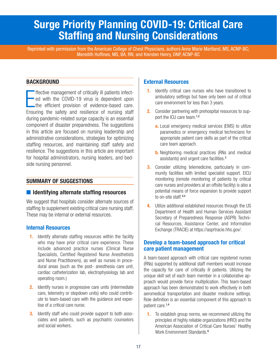### **Surge Priority Planning COVID-19: Critical Care Staffing and Nursing Considerations**

Reprinted with permission from the American College of Chest Physicians, authors Anne Marie Martland, MS, ACNP-BC; Meredith Huffines, MS, BA, RN; and Kiersten Henry, DNP, ACNP-BC

#### **BACKGROUND**

ffective management of critically ill patients infected with the COVID-19 virus is dependent upon the efficient provision of evidence-based care.<br>Ensuring the safety and resilience of nursing staff ffective management of critically ill patients infectof ed with the COVID-19 virus is dependent upon the efficient provision of evidence-based care. during pandemic-related surge capacity is an essential component of disaster preparedness. The suggestions in this article are focused on nursing leadership and administrative considerations, strategies for optimizing staffing resources, and maintaining staff safety and resilience. The suggestions in this article are important for hospital administrators, nursing leaders, and bedside nursing personnel.

#### **SUMMARY OF SUGGESTIONS**

#### ■ **Identifying alternate staffing resources**

We suggest that hospitals consider alternate sources of staffing to supplement existing critical care nursing staff. These may be internal or external resources.

#### **Internal Resources**

- **1.** Identify alternate staffing resources within the facility who may have prior critical care experience. These include advanced practice nurses (Clinical Nurse Specialists, Certified Registered Nurse Anesthetists and Nurse Practitioners), as well as nurses in procedural areas (such as the post- anesthesia care unit, cardiac catheterization lab, electrophysiology lab and operating room.)
- **2.** Identify nurses in progressive care units (intermediate care, telemetry or stepdown units) who could contribute to team-based care with the guidance and expertise of a critical care nurse.
- **3.** Identify staff who could provide support to both associates and patients, such as psychiatric counselors and social workers.

#### **External Resources**

- **1.** Identify critical care nurses who have transitioned to ambulatory settings but have only been out of critical care environment for less than 3 years.
- **2.** Consider partnering with prehospital resources to support the ICU care team.<sup>1,2</sup>
	- **a.** Local emergency medical services (EMS) to utilize paramedics or emergency medical technicians for appropriate patient care skills as part of the critical care team approach.
	- **b.** Neighboring medical practices (RNs and medical assistants) and urgent care facilities.<sup>3</sup>
- **3.** Consider utilizing telemedicine, particularly in community facilities with limited specialist support. EICU monitoring (remote monitoring of patients by critical care nurses and providers at an offsite facility) is also a potential means of force expansion to provide support to on-site staff.<sup>4,5</sup>
- **4.** Utilize additional established resources through the US Department of Health and Human Services Assistant Secretary of Preparedness Response (ASPR) Technical Resources, Assistance Center, and Information Exchange (TRACIE) at https://asprtracie.hhs.gov/.

#### **Develop a team-based approach for critical care patient management**

A team-based approach with critical care registered nurses (RNs) supported by additional staff members would increase the capacity for care of critically ill patients. Utilizing the unique skill set of each team member in a collaborative approach would provide force multiplication. This team-based approach has been demonstrated to work effectively in both aeromedical transportation and disaster medicine settings. Role definition is an essential component of this approach to patient care.1,4

**1.** To establish group norms, we recommend utilizing the principles of highly reliable organizations (HRO) and the American Association of Critical-Care Nurses' Healthy Work Environment Standards.<sup>6</sup>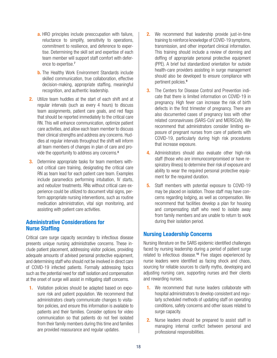- **a.** HRO principles include preoccupation with failure, reluctance to simplify, sensitivity to operations, commitment to resilience, and deference to expertise. Determining the skill set and expertise of each team member will support staff comfort with deference to expertise.<sup>7</sup>
- **b.** The Healthy Work Environment Standards include skilled communication, true collaboration, effective decision-making, appropriate staffing, meaningful recognition, and authentic leadership.
- **2.** Utilize team huddles at the start of each shift and at regular intervals (such as every 4 hours) to discuss team assignments, patient care goals, and red flags that should be reported immediately to the critical care RN. This will enhance communication, optimize patient care activities, and allow each team member to discuss their clinical strengths and address any concerns. Huddles at regular intervals throughout the shift will inform all team members of changes in plan of care and provide the opportunity to address any concerns.<sup>8</sup>
- **3.** Determine appropriate tasks for team members without critical care training, designating the critical care RN as team lead for each patient care team. Examples include paramedics performing intubation, IV starts, and nebulizer treatments. RNs without critical care experience could be utilized to document vital signs, perform appropriate nursing interventions, such as routine medication administration, vital sign monitoring, and assisting with patient care activities.

#### **Administrative Considerations for Nurse Staffing**

Critical care surge capacity secondary to infectious disease presents unique nursing administrative concerns. These include patient placement, addressing visitor policies, providing adequate amounts of advised personal protective equipment, and determining staff who should not be involved in direct care of COVID-19 infected patients. Formally addressing topics such as the potential need for staff isolation and compensation at the onset of surge will assist in mitigating staff concerns.

**1.** Visitation policies should be adapted based on exposure risk and patient population. We recommend that administrators clearly communicate changes to visitation policies, and ensure this information is available to patients and their families. Consider options for video communication so that patients do not feel isolated from their family members during this time and families are provided reassurance and regular updates.

- **2.** We recommend that leadership provide just-in-time training to reinforce knowledge of COVID-19 symptoms, transmission, and other important clinical information. This training should include a review of donning and doffing of appropriate personal protective equipment (PPE). A brief but standardized orientation for outside health-care providers assisting in surge management should also be developed to ensure compliance with pertinent policies.<sup>9</sup>
- **3.** The Centers for Disease Control and Prevention indicate that there is limited information on COVID-19 in pregnancy. High fever can increase the risk of birth defects in the first trimester of pregnancy. There are also documented cases of pregnancy loss with other related coronaviruses (SARS-CoV and MERSCoV). We recommend that administrators consider limiting exposure of pregnant nurses from care of patients with COVID-19, particularly during high risk procedures that increase exposure.
- **4.** Administrators should also evaluate other high-risk staff (those who are immunocompromised or have respiratory illness) to determine their risk of exposure and ability to wear the required personal protective equipment for the required duration.
- **5.** Staff members with potential exposure to COVID-19 may be placed on isolation. Those staff may have concerns regarding lodging, as well as compensation. We recommend that facilities develop a plan for housing and compensating staff who need to isolate away from family members and are unable to return to work during their isolation period.

#### **Nursing Leadership Concerns**

Nursing literature on the SARS epidemic identified challenges faced by nursing leadership during a period of patient surge related to infectious disease.10 Five stages experienced by nurse leaders were identified as facing shock and chaos, sourcing for reliable sources to clarify myths, developing and adjusting nursing care, supporting nurses and their clients and rewarding nurses.

- **1.** We recommend that nurse leaders collaborate with hospital administrators to develop consistent and regularly scheduled methods of updating staff on operating conditions, safety concerns and other issues related to surge capacity.
- **2.** Nurse leaders should be prepared to assist staff in managing internal conflict between personal and professional responsibilities.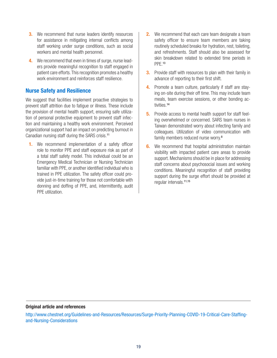- **3.** We recommend that nurse leaders identify resources for assistance in mitigating internal conflicts among staff working under surge conditions, such as social workers and mental health personnel.
- **4.** We recommend that even in times of surge, nurse leaders provide meaningful recognition to staff engaged in patient care efforts. This recognition promotes a healthy work environment and reinforces staff resilience.

#### **Nurse Safety and Resilience**

We suggest that facilities implement proactive strategies to prevent staff attrition due to fatigue or illness. These include the provision of mental health support, ensuring safe utilization of personal protective equipment to prevent staff infection and maintaining a healthy work environment. Perceived organizational support had an impact on predicting burnout in Canadian nursing staff during the SARS crisis.<sup>11</sup>

**1.** We recommend implementation of a safety officer role to monitor PPE and staff exposure risk as part of a total staff safety model. This individual could be an Emergency Medical Technician or Nursing Technician familiar with PPE, or another identified individual who is trained in PPE utilization. The safety officer could provide just-in-time training for those not comfortable with donning and doffing of PPE, and, intermittently, audit PPE utilization.

- **2.** We recommend that each care team designate a team safety officer to ensure team members are taking routinely scheduled breaks for hydration, rest, toileting, and refreshments. Staff should also be assessed for skin breakdown related to extended time periods in PPE.<sup>13</sup>
- **3.** Provide staff with resources to plan with their family in advance of reporting to their first shift.
- **4.** Promote a team culture, particularly if staff are staying on-site during their off time. This may include team meals, team exercise sessions, or other bonding activities.<sup>14</sup>
- **5.** Provide access to mental health support for staff feeling overwhelmed or concerned. SARS team nurses in Taiwan demonstrated worry about infecting family and colleagues. Utilization of video communication with family members reduced nurse worry.<sup>8</sup>
- **6.** We recommend that hospital administration maintain visibility with impacted patient care areas to provide support. Mechanisms should be in place for addressing staff concerns about psychosocial issues and working conditions. Meaningful recognition of staff providing support during the surge effort should be provided at regular intervals.11,15

#### **Original article and references**

http://www.chestnet.org/Guidelines-and-Resources/Resources/Surge-Priority-Planning-COVID-19-Critical-Care-Staffingand-Nursing-Considerations